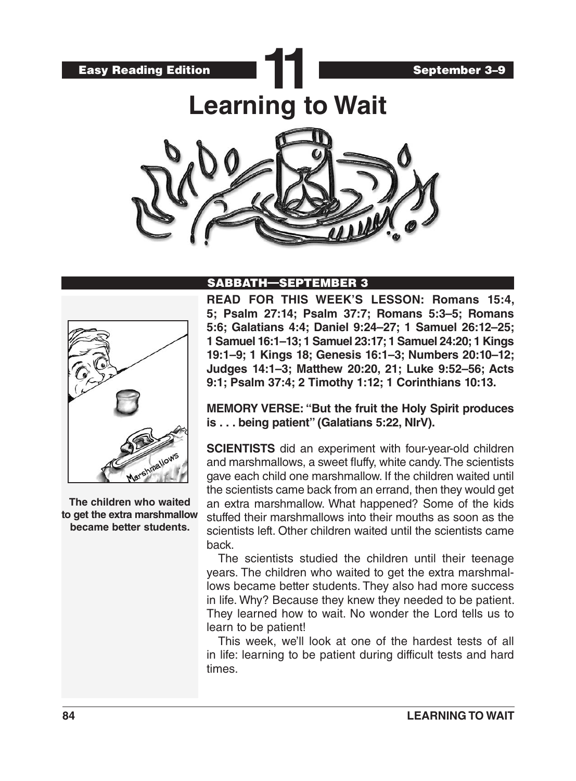

## SABBATH—SEPTEMBER 3



**The children who waited to get the extra marshmallow became better students.**

**READ FOR THIS WEEK'S LESSON: Romans 15:4, 5; Psalm 27:14; Psalm 37:7; Romans 5:3–5; Romans 5:6; Galatians 4:4; Daniel 9:24–27; 1 Samuel 26:12–25; 1 Samuel 16:1–13; 1 Samuel 23:17; 1 Samuel 24:20; 1 Kings 19:1–9; 1 Kings 18; Genesis 16:1–3; Numbers 20:10–12; Judges 14:1–3; Matthew 20:20, 21; Luke 9:52–56; Acts 9:1; Psalm 37:4; 2 Timothy 1:12; 1 Corinthians 10:13.**

**MEMORY VERSE: "But the fruit the Holy Spirit produces is . . . being patient" (Galatians 5:22, NIrV).**

**SCIENTISTS** did an experiment with four-year-old children and marshmallows, a sweet fluffy, white candy. The scientists gave each child one marshmallow. If the children waited until the scientists came back from an errand, then they would get an extra marshmallow. What happened? Some of the kids stuffed their marshmallows into their mouths as soon as the scientists left. Other children waited until the scientists came back.

The scientists studied the children until their teenage years. The children who waited to get the extra marshmallows became better students. They also had more success in life. Why? Because they knew they needed to be patient. They learned how to wait. No wonder the Lord tells us to learn to be patient!

This week, we'll look at one of the hardest tests of all in life: learning to be patient during difficult tests and hard times.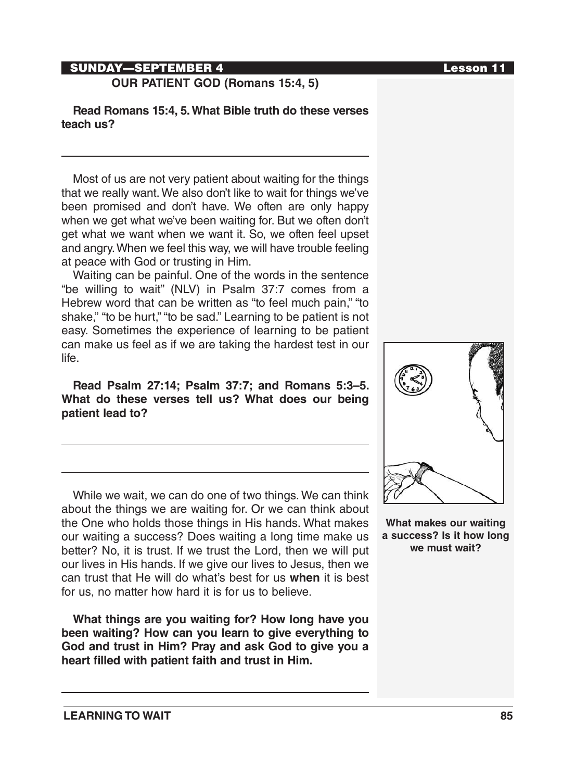# SUNDAY—SEPTEMBER 4 Lesson 11

**OUR PATIENT GOD (Romans 15:4, 5)**

**Read Romans 15:4, 5. What Bible truth do these verses teach us?**

Most of us are not very patient about waiting for the things that we really want. We also don't like to wait for things we've been promised and don't have. We often are only happy when we get what we've been waiting for. But we often don't get what we want when we want it. So, we often feel upset and angry. When we feel this way, we will have trouble feeling at peace with God or trusting in Him.

Waiting can be painful. One of the words in the sentence "be willing to wait" (NLV) in Psalm 37:7 comes from a Hebrew word that can be written as "to feel much pain," "to shake," "to be hurt," "to be sad." Learning to be patient is not easy. Sometimes the experience of learning to be patient can make us feel as if we are taking the hardest test in our life.

**Read Psalm 27:14; Psalm 37:7; and Romans 5:3–5. What do these verses tell us? What does our being patient lead to?** 

While we wait, we can do one of two things. We can think about the things we are waiting for. Or we can think about the One who holds those things in His hands. What makes our waiting a success? Does waiting a long time make us better? No, it is trust. If we trust the Lord, then we will put our lives in His hands. If we give our lives to Jesus, then we can trust that He will do what's best for us **when** it is best for us, no matter how hard it is for us to believe.

**What things are you waiting for? How long have you been waiting? How can you learn to give everything to God and trust in Him? Pray and ask God to give you a heart filled with patient faith and trust in Him.** 



**What makes our waiting a success? Is it how long we must wait?**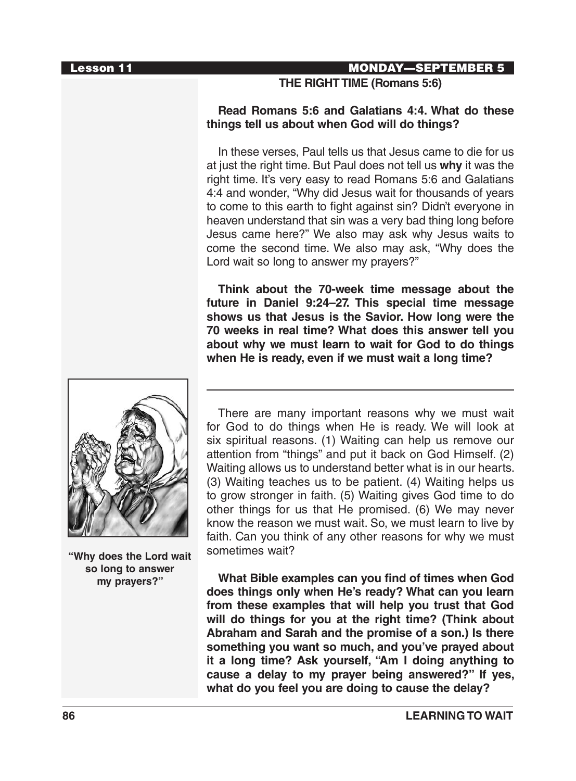#### Lesson 11 MONDAY—SEPTEMBER 5

**THE RIGHT TIME (Romans 5:6)**

#### **Read Romans 5:6 and Galatians 4:4. What do these things tell us about when God will do things?**

In these verses, Paul tells us that Jesus came to die for us at just the right time. But Paul does not tell us **why** it was the right time. It's very easy to read Romans 5:6 and Galatians 4:4 and wonder, "Why did Jesus wait for thousands of years to come to this earth to fight against sin? Didn't everyone in heaven understand that sin was a very bad thing long before Jesus came here?" We also may ask why Jesus waits to come the second time. We also may ask, "Why does the Lord wait so long to answer my prayers?"

**Think about the 70-week time message about the future in Daniel 9:24–27. This special time message shows us that Jesus is the Savior. How long were the 70 weeks in real time? What does this answer tell you about why we must learn to wait for God to do things when He is ready, even if we must wait a long time?**



**"Why does the Lord wait so long to answer my prayers?"**

There are many important reasons why we must wait for God to do things when He is ready. We will look at six spiritual reasons. (1) Waiting can help us remove our attention from "things" and put it back on God Himself. (2) Waiting allows us to understand better what is in our hearts. (3) Waiting teaches us to be patient. (4) Waiting helps us to grow stronger in faith. (5) Waiting gives God time to do other things for us that He promised. (6) We may never know the reason we must wait. So, we must learn to live by faith. Can you think of any other reasons for why we must sometimes wait?

**What Bible examples can you find of times when God does things only when He's ready? What can you learn from these examples that will help you trust that God will do things for you at the right time? (Think about Abraham and Sarah and the promise of a son.) Is there something you want so much, and you've prayed about it a long time? Ask yourself, "Am I doing anything to cause a delay to my prayer being answered?" If yes, what do you feel you are doing to cause the delay?**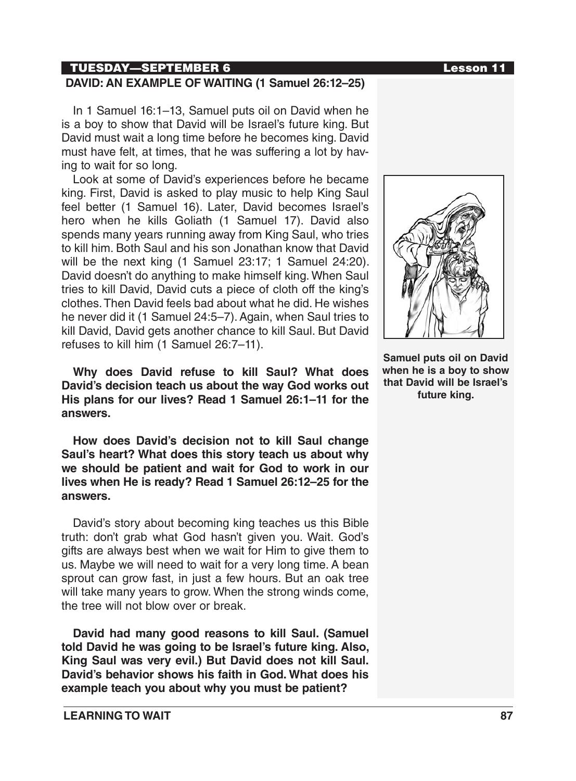## TUESDAY—SEPTEMBER 6 Lesson 11

### **DAVID: AN EXAMPLE OF WAITING (1 Samuel 26:12–25)**

In 1 Samuel 16:1–13, Samuel puts oil on David when he is a boy to show that David will be Israel's future king. But David must wait a long time before he becomes king. David must have felt, at times, that he was suffering a lot by having to wait for so long.

Look at some of David's experiences before he became king. First, David is asked to play music to help King Saul feel better (1 Samuel 16). Later, David becomes Israel's hero when he kills Goliath (1 Samuel 17). David also spends many years running away from King Saul, who tries to kill him. Both Saul and his son Jonathan know that David will be the next king (1 Samuel 23:17; 1 Samuel 24:20). David doesn't do anything to make himself king. When Saul tries to kill David, David cuts a piece of cloth off the king's clothes. Then David feels bad about what he did. He wishes he never did it (1 Samuel 24:5–7). Again, when Saul tries to kill David, David gets another chance to kill Saul. But David refuses to kill him (1 Samuel 26:7–11).

**Why does David refuse to kill Saul? What does David's decision teach us about the way God works out His plans for our lives? Read 1 Samuel 26:1–11 for the answers.**

**How does David's decision not to kill Saul change Saul's heart? What does this story teach us about why we should be patient and wait for God to work in our lives when He is ready? Read 1 Samuel 26:12–25 for the answers.** 

David's story about becoming king teaches us this Bible truth: don't grab what God hasn't given you. Wait. God's gifts are always best when we wait for Him to give them to us. Maybe we will need to wait for a very long time. A bean sprout can grow fast, in just a few hours. But an oak tree will take many years to grow. When the strong winds come, the tree will not blow over or break.

**David had many good reasons to kill Saul. (Samuel told David he was going to be Israel's future king. Also, King Saul was very evil.) But David does not kill Saul. David's behavior shows his faith in God. What does his example teach you about why you must be patient?**



**Samuel puts oil on David when he is a boy to show that David will be Israel's future king.**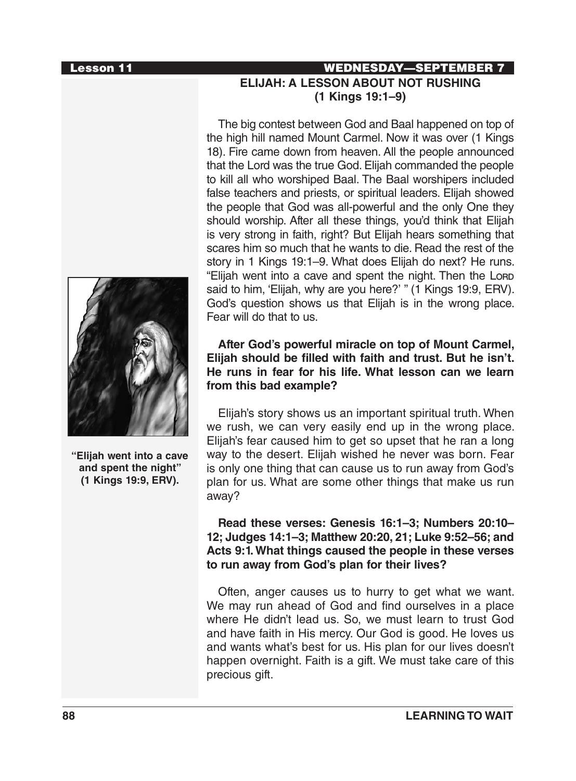

**"Elijah went into a cave and spent the night" (1 Kings 19:9, ERV).**

## Lesson 11 WEDNESDAY—SEPTEMBER 7 **ELIJAH: A LESSON ABOUT NOT RUSHING (1 Kings 19:1–9)**

The big contest between God and Baal happened on top of the high hill named Mount Carmel. Now it was over (1 Kings 18). Fire came down from heaven. All the people announced that the Lord was the true God. Elijah commanded the people to kill all who worshiped Baal. The Baal worshipers included false teachers and priests, or spiritual leaders. Elijah showed the people that God was all-powerful and the only One they should worship. After all these things, you'd think that Elijah is very strong in faith, right? But Elijah hears something that scares him so much that he wants to die. Read the rest of the story in 1 Kings 19:1–9. What does Elijah do next? He runs. "Elijah went into a cave and spent the night. Then the Lorap said to him, 'Elijah, why are you here?' " (1 Kings 19:9, ERV). God's question shows us that Elijah is in the wrong place. Fear will do that to us.

**After God's powerful miracle on top of Mount Carmel, Elijah should be filled with faith and trust. But he isn't. He runs in fear for his life. What lesson can we learn from this bad example?**

Elijah's story shows us an important spiritual truth. When we rush, we can very easily end up in the wrong place. Elijah's fear caused him to get so upset that he ran a long way to the desert. Elijah wished he never was born. Fear is only one thing that can cause us to run away from God's plan for us. What are some other things that make us run away?

### **Read these verses: Genesis 16:1–3; Numbers 20:10– 12; Judges 14:1–3; Matthew 20:20, 21; Luke 9:52–56; and Acts 9:1. What things caused the people in these verses to run away from God's plan for their lives?**

Often, anger causes us to hurry to get what we want. We may run ahead of God and find ourselves in a place where He didn't lead us. So, we must learn to trust God and have faith in His mercy. Our God is good. He loves us and wants what's best for us. His plan for our lives doesn't happen overnight. Faith is a gift. We must take care of this precious gift.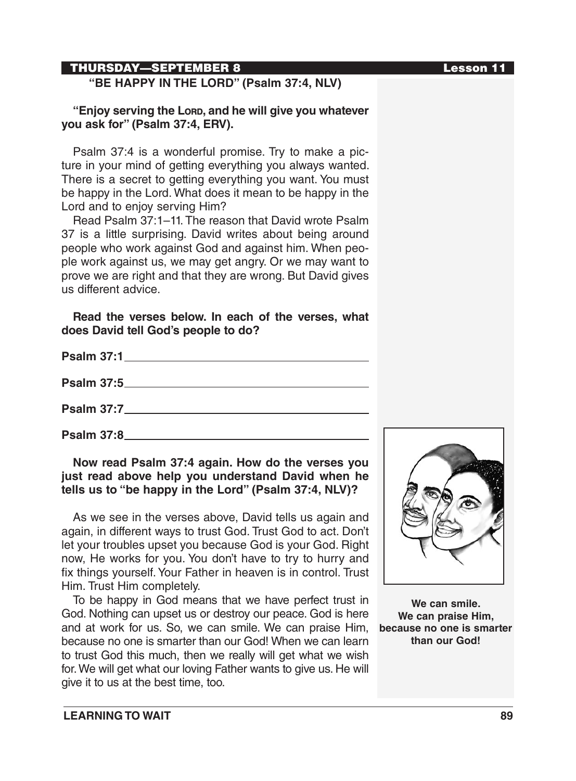## THURSDAY—SEPTEMBER 8 Lesson 11

# **"BE HAPPY IN THE LORD" (Psalm 37:4, NLV)**

#### **"Enjoy serving the Lord, and he will give you whatever you ask for" (Psalm 37:4, ERV).**

Psalm 37:4 is a wonderful promise. Try to make a picture in your mind of getting everything you always wanted. There is a secret to getting everything you want. You must be happy in the Lord. What does it mean to be happy in the Lord and to enjoy serving Him?

Read Psalm 37:1–11. The reason that David wrote Psalm 37 is a little surprising. David writes about being around people who work against God and against him. When people work against us, we may get angry. Or we may want to prove we are right and that they are wrong. But David gives us different advice.

#### **Read the verses below. In each of the verses, what does David tell God's people to do?**

| Psalm 37:1_______________________________                                                                                                                                                                                           |
|-------------------------------------------------------------------------------------------------------------------------------------------------------------------------------------------------------------------------------------|
|                                                                                                                                                                                                                                     |
|                                                                                                                                                                                                                                     |
| <b>Psalm 37:8</b> Providence and the set of the set of the set of the set of the set of the set of the set of the set of the set of the set of the set of the set of the set of the set of the set of the set of the set of the set |

### **Now read Psalm 37:4 again. How do the verses you just read above help you understand David when he tells us to "be happy in the Lord" (Psalm 37:4, NLV)?**

As we see in the verses above, David tells us again and again, in different ways to trust God. Trust God to act. Don't let your troubles upset you because God is your God. Right now, He works for you. You don't have to try to hurry and fix things yourself. Your Father in heaven is in control. Trust Him. Trust Him completely.

To be happy in God means that we have perfect trust in God. Nothing can upset us or destroy our peace. God is here and at work for us. So, we can smile. We can praise Him, because no one is smarter than our God! When we can learn to trust God this much, then we really will get what we wish for. We will get what our loving Father wants to give us. He will give it to us at the best time, too.



**We can smile. We can praise Him, because no one is smarter than our God!**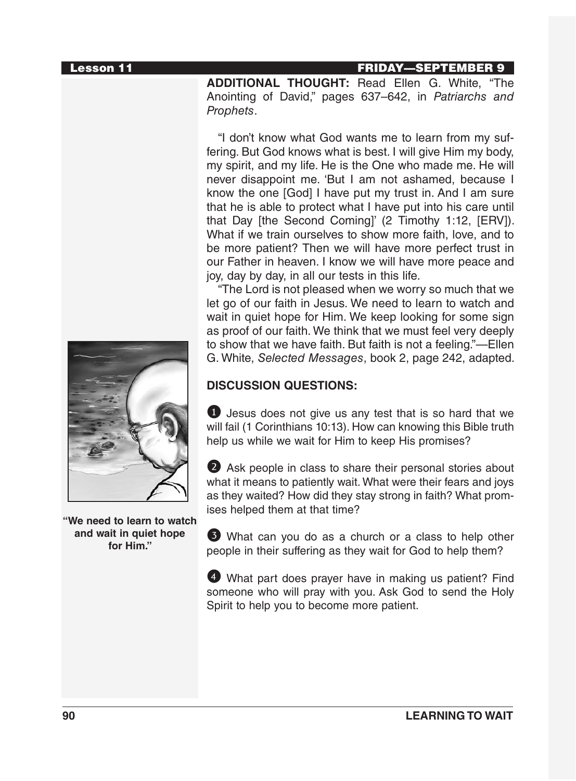### Lesson 11 FRIDAY—SEPTEMBER 9

**ADDITIONAL THOUGHT:** Read Ellen G. White, "The Anointing of David," pages 637–642, in *Patriarchs and Prophets*.

"I don't know what God wants me to learn from my suffering. But God knows what is best. I will give Him my body, my spirit, and my life. He is the One who made me. He will never disappoint me. 'But I am not ashamed, because I know the one [God] I have put my trust in. And I am sure that he is able to protect what I have put into his care until that Day [the Second Coming]' (2 Timothy 1:12, [ERV]). What if we train ourselves to show more faith, love, and to be more patient? Then we will have more perfect trust in our Father in heaven. I know we will have more peace and joy, day by day, in all our tests in this life.

"The Lord is not pleased when we worry so much that we let go of our faith in Jesus. We need to learn to watch and wait in quiet hope for Him. We keep looking for some sign as proof of our faith. We think that we must feel very deeply to show that we have faith. But faith is not a feeling."—Ellen G. White, *Selected Messages*, book 2, page 242, adapted.

## **DISCUSSION QUESTIONS:**

1 Jesus does not give us any test that is so hard that we will fail (1 Corinthians 10:13). How can knowing this Bible truth help us while we wait for Him to keep His promises?

2 Ask people in class to share their personal stories about what it means to patiently wait. What were their fears and joys as they waited? How did they stay strong in faith? What promises helped them at that time?

3 What can you do as a church or a class to help other people in their suffering as they wait for God to help them?

4 What part does prayer have in making us patient? Find someone who will pray with you. Ask God to send the Holy Spirit to help you to become more patient.



**"We need to learn to watch and wait in quiet hope for Him."**